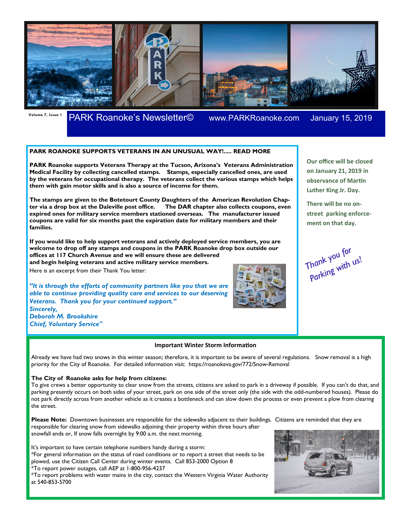

# **Volume 7, Issue 1** PARK Roanoke's Newsletter© www.PARKRoanoke.com January 15, 2019

## **PARK ROANOKE SUPPORTS VETERANS IN AN UNUSUAL WAY!..... READ MORE**

**PARK Roanoke supports Veterans Therapy at the Tucson, Arizona's Veterans Administration Medical Facility by collecting cancelled stamps. Stamps, especially cancelled ones, are used by the veterans for occupational therapy. The veterans collect the various stamps which helps them with gain motor skills and is also a source of income for them.** 

**The stamps are given to the Botetourt County Daughters of the American Revolution Chapter via a drop box at the Daleville post office. The DAR chapter also collects coupons, even expired ones for military service members stationed overseas. The manufacturer issued coupons are valid for six months past the expiration date for military members and their families.** 

**If you would like to help support veterans and actively deployed service members, you are welcome to drop off any stamps and coupons in the PARK Roanoke drop box outside our offices at 117 Church Avenue and we will ensure these are delivered and begin helping veterans and active military service members.** 

Here is an excerpt from their Thank You letter:

*"It is through the efforts of community partners like you that we are able to continue providing quality care and services to our deserving Veterans. Thank you for your continued support." Sincerely,*

*Deborah M. Brookshire Chief, Voluntary Service"*

### **Important Winter Storm Information**

Already we have had two snows in this winter season; therefore, it is important to be aware of several regulations. Snow removal is a high priority for the City of Roanoke. For detailed information visit: https://roanokeva.gov/772/Snow-Removal

### **The City of Roanoke asks for help from citizens:**

To give crews a better opportunity to clear snow from the streets, citizens are asked to park in a driveway if possible. If you can't do that, and parking presently occurs on both sides of your street, park on one side of the street only (the side with the odd-numbered houses). Please do not park directly across from another vehicle as it creates a bottleneck and can slow down the process or even prevent a plow from clearing the street.

**Please Note:** Downtown businesses are responsible for the sidewalks adjacent to their buildings. Citizens are reminded that they are responsible for clearing snow from sidewalks adjoining their property within three hours after snowfall ends or, If snow falls overnight by 9:00 a.m. the next morning.

It's important to have certain telephone numbers handy during a storm:

\*For general information on the status of road conditions or to report a street that needs to be plowed, use the Citizen Call Center during winter events. Call 853-2000 Option 8 \*To report power outages, call AEP at 1-800-956-4237

\*To report problems with water mains in the city, contact the Western Virginia Water Authority at 540-853-5700





**observance of Martin Luther King Jr. Day. There will be no on-**

**Our office will be closed on January 21, 2019 in** 

**street parking enforcement on that day.** 

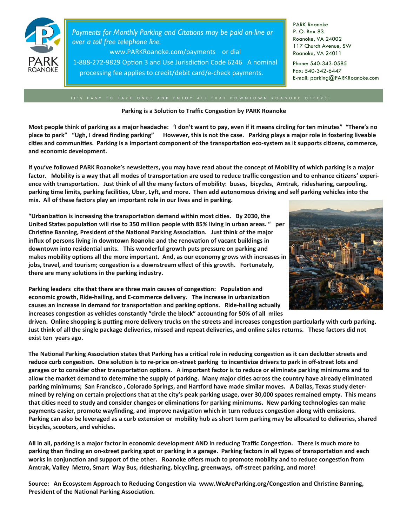

*Payments for Monthly Parking and Citations may be paid on-line or over a toll free telephone line.* 

www.PARKRoanoke.com/payments or dial

1-888-272-9829 Option 3 and Use Jurisdiction Code 6246 A nominal processing fee applies to credit/debit card/e-check payments.

PARK Roanoke P. O. Box 83 Roanoke, VA 24002 117 Church Avenue, SW Roanoke, VA 24011

Phone: 540-343-0585 Fax: 540-342-6447 E-mail: parking@PARKRoanoke.com

#### Parking is a Solution to Traffic Congestion by PARK Roanoke

**Most people think of parking as a major headache: 'I don't want to pay, even if it means circling for ten minutes" "There's no place to park" "Ugh, I dread finding parking" However, this is not the case. Parking plays a major role in fostering liveable**  cities and communities. Parking is a important component of the transportation eco-system as it supports citizens, commerce, **and economic development.** 

If you've followed PARK Roanoke's newsletters, you may have read about the concept of Mobility of which parking is a major factor. Mobility is a way that all modes of transportation are used to reduce traffic congestion and to enhance citizens' experience with transportation. Just think of all the many factors of mobility: buses, bicycles, Amtrak, ridesharing, carpooling, parking time limits, parking facilities, Uber, Lyft, and more. Then add autonomous driving and self parking vehicles into the **mix. All of these factors play an important role in our lives and in parking.** 

"Urbanization is increasing the transportation demand within most cities. By 2030, the United States population will rise to 350 million people with 85% living in urban areas. " per Christine Banning, President of the National Parking Association. Just think of the major influx of persons living in downtown Roanoke and the renovation of vacant buildings in downtown into residential units. This wonderful growth puts pressure on parking and makes mobility options all the more important. And, as our economy grows with increases in jobs, travel, and tourism; congestion is a downstream effect of this growth. Fortunately, there are many solutions in the parking industry.



Parking leaders cite that there are three main causes of congestion: Population and **economic growth, Ride-hailing, and E-commerce delivery. The increase in urbanization** causes an increase in demand for transportation and parking options. Ride-hailing actually increases congestion as vehicles constantly "circle the block" accounting for 50% of all miles

driven. Online shopping is putting more delivery trucks on the streets and increases congestion particularly with curb parking. **Just think of all the single package deliveries, missed and repeat deliveries, and online sales returns. These factors did not exist ten years ago.** 

The National Parking Association states that Parking has a critical role in reducing congestion as it can declutter streets and reduce curb congestion. One solution is to re-price on-street parking to incentivize drivers to park in off-street lots and garages or to consider other transportation options. A important factor is to reduce or eliminate parking minimums and to allow the market demand to determine the supply of parking. Many major cities across the country have already eliminated parking minimums; San Francisco, Colorado Springs, and Hartford have made similar moves. A Dallas, Texas study determined by relying on certain projections that at the city's peak parking usage, over 30,000 spaces remained empty. This means that cities need to study and consider changes or eliminations for parking minimums. New parking technologies can make payments easier, promote wayfinding, and improve navigation which in turn reduces congestion along with emissions. **Parking can also be leveraged as a curb extension or mobility hub as short term parking may be allocated to deliveries, shared bicycles, scooters, and vehicles.** 

All in all, parking is a major factor in economic development AND in reducing Traffic Congestion. There is much more to parking than finding an on-street parking spot or parking in a garage. Parking factors in all types of transportation and each works in conjunction and support of the other. Roanoke offers much to promote mobility and to reduce congestion from **Amtrak, Valley Metro, Smart Way Bus, ridesharing, bicycling, greenways, off-street parking, and more!** 

Source: An Ecosystem Approach to Reducing Congestion via www.WeAreParking.org/Congestion and Christine Banning, President of the National Parking Association.